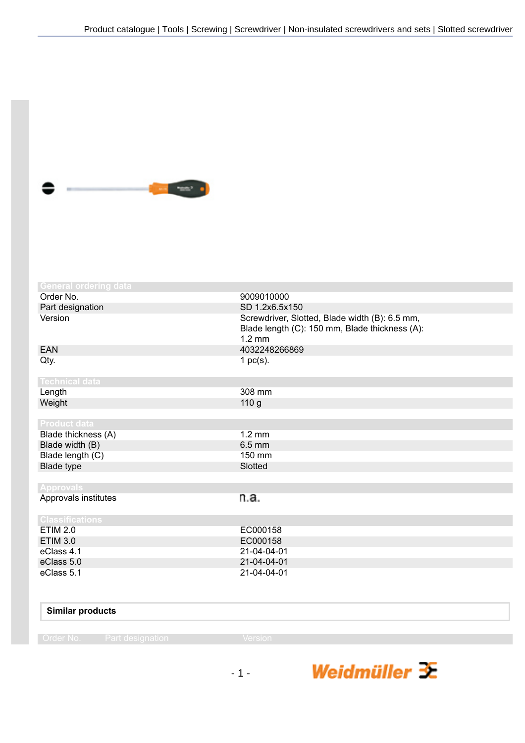

| <b>General ordering data</b> |                                                                                                                      |
|------------------------------|----------------------------------------------------------------------------------------------------------------------|
| Order No.                    | 9009010000                                                                                                           |
| Part designation             | SD 1.2x6.5x150                                                                                                       |
| Version                      | Screwdriver, Slotted, Blade width (B): 6.5 mm,<br>Blade length (C): 150 mm, Blade thickness (A):<br>$1.2 \text{ mm}$ |
| <b>EAN</b>                   | 4032248266869                                                                                                        |
| Qty.                         | 1 $pc(s)$ .                                                                                                          |
| <b>Technical data</b>        |                                                                                                                      |
| Length                       | 308 mm                                                                                                               |
| Weight                       | 110 <sub>g</sub>                                                                                                     |
|                              |                                                                                                                      |
| <b>Product data</b>          |                                                                                                                      |
| Blade thickness (A)          | $1.2 \text{ mm}$                                                                                                     |
| Blade width (B)              | $6.5$ mm                                                                                                             |
| Blade length (C)             | 150 mm                                                                                                               |
| Blade type                   | Slotted                                                                                                              |
|                              |                                                                                                                      |
| <b>Approvals</b>             |                                                                                                                      |
| Approvals institutes         | n.a.                                                                                                                 |
| <b>Classifications</b>       |                                                                                                                      |
| <b>ETIM 2.0</b>              | EC000158                                                                                                             |
| <b>ETIM 3.0</b>              | EC000158                                                                                                             |
| eClass 4.1                   | 21-04-04-01                                                                                                          |
| eClass 5.0                   | 21-04-04-01                                                                                                          |
| eClass 5.1                   | 21-04-04-01                                                                                                          |

|  | <b>Similar products</b> |
|--|-------------------------|
|--|-------------------------|